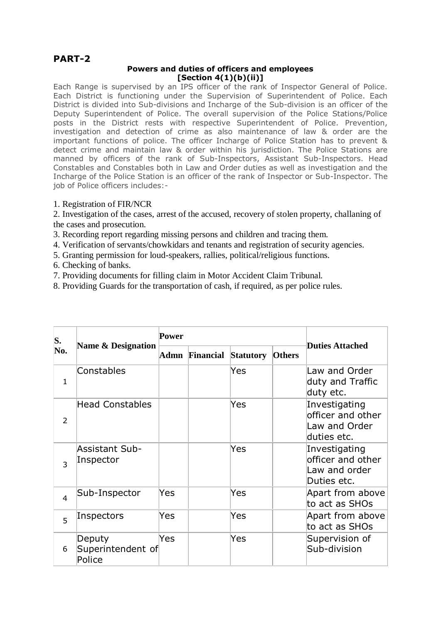## **PART-2**

## **Powers and duties of officers and employees [Section 4(1)(b)(ii)]**

Each Range is supervised by an IPS officer of the rank of Inspector General of Police. Each District is functioning under the Supervision of Superintendent of Police. Each District is divided into Sub-divisions and Incharge of the Sub-division is an officer of the Deputy Superintendent of Police. The overall supervision of the Police Stations/Police posts in the District rests with respective Superintendent of Police. Prevention, investigation and detection of crime as also maintenance of law & order are the important functions of police. The officer Incharge of Police Station has to prevent & detect crime and maintain law & order within his jurisdiction. The Police Stations are manned by officers of the rank of Sub-Inspectors, Assistant Sub-Inspectors. Head Constables and Constables both in Law and Order duties as well as investigation and the Incharge of the Police Station is an officer of the rank of Inspector or Sub-Inspector. The job of Police officers includes:-

## 1. Registration of FIR/NCR

2. Investigation of the cases, arrest of the accused, recovery of stolen property, challaning of the cases and prosecution.

3. Recording report regarding missing persons and children and tracing them.

4. Verification of servants/chowkidars and tenants and registration of security agencies.

5. Granting permission for loud-speakers, rallies, political/religious functions.

6. Checking of banks.

7. Providing documents for filling claim in Motor Accident Claim Tribunal.

8. Providing Guards for the transportation of cash, if required, as per police rules.

| S.<br>No.      | Name & Designation                    | Power |                |                  |               |                                                                    |
|----------------|---------------------------------------|-------|----------------|------------------|---------------|--------------------------------------------------------------------|
|                |                                       |       | Admn Financial | <b>Statutory</b> | <b>Others</b> | <b>Duties Attached</b>                                             |
| $\mathbf{1}$   | Constables                            |       |                | Yes              |               | Law and Order<br>duty and Traffic<br>duty etc.                     |
| $\overline{2}$ | <b>Head Constables</b>                |       |                | Yes              |               | Investigating<br>officer and other<br>Law and Order<br>duties etc. |
| 3              | Assistant Sub-<br>Inspector           |       |                | Yes              |               | Investigating<br>officer and other<br>Law and order<br>Duties etc. |
| $\overline{4}$ | Sub-Inspector                         | Yes   |                | Yes              |               | Apart from above<br>to act as SHOs                                 |
| 5              | Inspectors                            | Yes   |                | Yes              |               | Apart from above<br>to act as SHOs                                 |
| 6              | Deputy<br>Superintendent of<br>Police | Yes   |                | Yes              |               | Supervision of<br>Sub-division                                     |